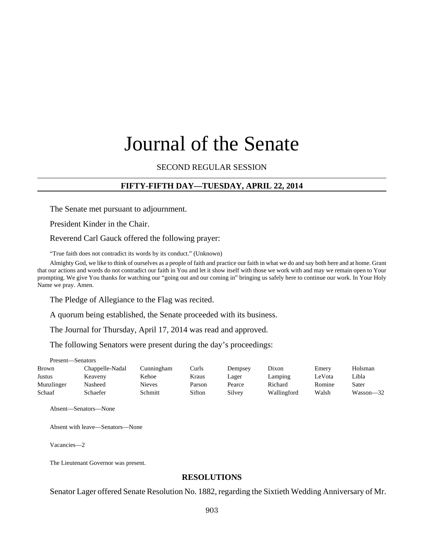# Journal of the Senate

SECOND REGULAR SESSION

## **FIFTY-FIFTH DAY—TUESDAY, APRIL 22, 2014**

The Senate met pursuant to adjournment.

President Kinder in the Chair.

Reverend Carl Gauck offered the following prayer:

"True faith does not contradict its words by its conduct." (Unknown)

Almighty God, we like to think of ourselves as a people of faith and practice our faith in what we do and say both here and at home. Grant that our actions and words do not contradict our faith in You and let it show itself with those we work with and may we remain open to Your prompting. We give You thanks for watching our "going out and our coming in" bringing us safely here to continue our work. In Your Holy Name we pray. Amen.

The Pledge of Allegiance to the Flag was recited.

A quorum being established, the Senate proceeded with its business.

The Journal for Thursday, April 17, 2014 was read and approved.

The following Senators were present during the day's proceedings:

Present—Senators

| Brown      | Chappelle-Nadal | Cunningham | Curls  | Dempsey | Dixon       | Emery  | Holsman   |
|------------|-----------------|------------|--------|---------|-------------|--------|-----------|
| Justus     | Keaveny         | Kehoe      | Kraus  | Lager   | Lamping     | LeVota | Libla     |
| Munzlinger | Nasheed         | Nieves     | Parson | Pearce  | Richard     | Romine | Sater     |
| Schaaf     | Schaefer        | Schmitt    | Sifton | Silvey  | Wallingford | Walsh  | Wasson—32 |

Absent—Senators—None

Absent with leave—Senators—None

Vacancies—2

The Lieutenant Governor was present.

#### **RESOLUTIONS**

Senator Lager offered Senate Resolution No. 1882, regarding the Sixtieth Wedding Anniversary of Mr.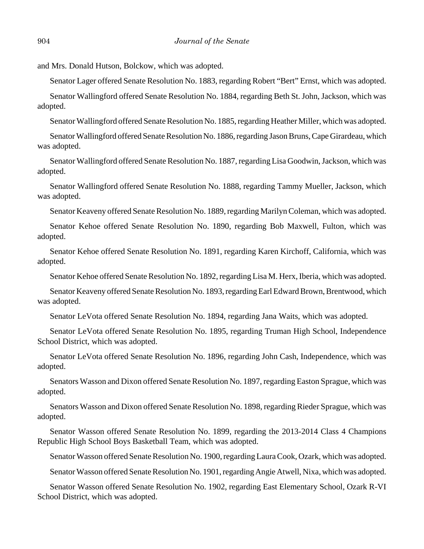and Mrs. Donald Hutson, Bolckow, which was adopted.

Senator Lager offered Senate Resolution No. 1883, regarding Robert "Bert" Ernst, which was adopted.

Senator Wallingford offered Senate Resolution No. 1884, regarding Beth St. John, Jackson, which was adopted.

Senator Wallingford offered Senate Resolution No. 1885, regarding Heather Miller, which was adopted.

Senator Wallingford offered Senate Resolution No. 1886, regarding Jason Bruns, Cape Girardeau, which was adopted.

Senator Wallingford offered Senate Resolution No. 1887, regarding Lisa Goodwin, Jackson, which was adopted.

Senator Wallingford offered Senate Resolution No. 1888, regarding Tammy Mueller, Jackson, which was adopted.

Senator Keaveny offered Senate Resolution No. 1889, regarding Marilyn Coleman, which was adopted.

Senator Kehoe offered Senate Resolution No. 1890, regarding Bob Maxwell, Fulton, which was adopted.

Senator Kehoe offered Senate Resolution No. 1891, regarding Karen Kirchoff, California, which was adopted.

Senator Kehoe offered Senate Resolution No. 1892, regarding Lisa M. Herx, Iberia, which was adopted.

Senator Keaveny offered Senate Resolution No. 1893, regarding Earl Edward Brown, Brentwood, which was adopted.

Senator LeVota offered Senate Resolution No. 1894, regarding Jana Waits, which was adopted.

Senator LeVota offered Senate Resolution No. 1895, regarding Truman High School, Independence School District, which was adopted.

Senator LeVota offered Senate Resolution No. 1896, regarding John Cash, Independence, which was adopted.

Senators Wasson and Dixon offered Senate Resolution No. 1897, regarding Easton Sprague, which was adopted.

Senators Wasson and Dixon offered Senate Resolution No. 1898, regarding Rieder Sprague, which was adopted.

Senator Wasson offered Senate Resolution No. 1899, regarding the 2013-2014 Class 4 Champions Republic High School Boys Basketball Team, which was adopted.

Senator Wasson offered Senate Resolution No. 1900, regarding Laura Cook, Ozark, which was adopted.

Senator Wasson offered Senate Resolution No. 1901, regarding Angie Atwell, Nixa, which was adopted.

Senator Wasson offered Senate Resolution No. 1902, regarding East Elementary School, Ozark R-VI School District, which was adopted.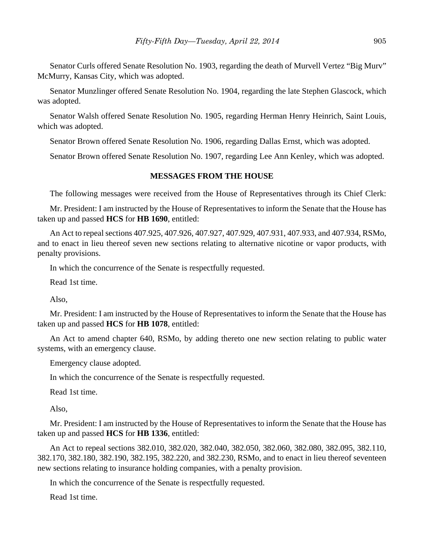Senator Curls offered Senate Resolution No. 1903, regarding the death of Murvell Vertez "Big Murv" McMurry, Kansas City, which was adopted.

Senator Munzlinger offered Senate Resolution No. 1904, regarding the late Stephen Glascock, which was adopted.

Senator Walsh offered Senate Resolution No. 1905, regarding Herman Henry Heinrich, Saint Louis, which was adopted.

Senator Brown offered Senate Resolution No. 1906, regarding Dallas Ernst, which was adopted.

Senator Brown offered Senate Resolution No. 1907, regarding Lee Ann Kenley, which was adopted.

## **MESSAGES FROM THE HOUSE**

The following messages were received from the House of Representatives through its Chief Clerk:

Mr. President: I am instructed by the House of Representatives to inform the Senate that the House has taken up and passed **HCS** for **HB 1690**, entitled:

An Act to repeal sections 407.925, 407.926, 407.927, 407.929, 407.931, 407.933, and 407.934, RSMo, and to enact in lieu thereof seven new sections relating to alternative nicotine or vapor products, with penalty provisions.

In which the concurrence of the Senate is respectfully requested.

Read 1st time.

Also,

Mr. President: I am instructed by the House of Representatives to inform the Senate that the House has taken up and passed **HCS** for **HB 1078**, entitled:

An Act to amend chapter 640, RSMo, by adding thereto one new section relating to public water systems, with an emergency clause.

Emergency clause adopted.

In which the concurrence of the Senate is respectfully requested.

Read 1st time.

Also,

Mr. President: I am instructed by the House of Representatives to inform the Senate that the House has taken up and passed **HCS** for **HB 1336**, entitled:

An Act to repeal sections 382.010, 382.020, 382.040, 382.050, 382.060, 382.080, 382.095, 382.110, 382.170, 382.180, 382.190, 382.195, 382.220, and 382.230, RSMo, and to enact in lieu thereof seventeen new sections relating to insurance holding companies, with a penalty provision.

In which the concurrence of the Senate is respectfully requested.

Read 1st time.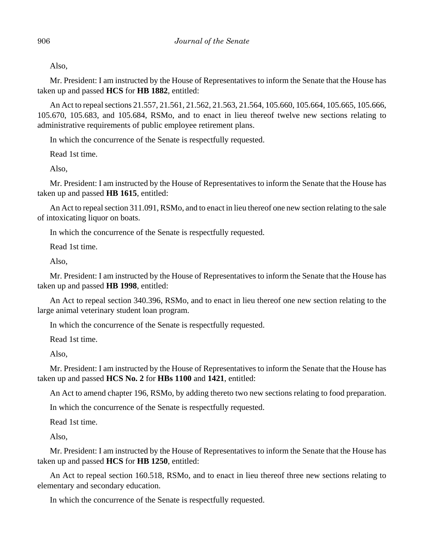Also,

Mr. President: I am instructed by the House of Representatives to inform the Senate that the House has taken up and passed **HCS** for **HB 1882**, entitled:

An Act to repeal sections 21.557, 21.561, 21.562, 21.563, 21.564, 105.660, 105.664, 105.665, 105.666, 105.670, 105.683, and 105.684, RSMo, and to enact in lieu thereof twelve new sections relating to administrative requirements of public employee retirement plans.

In which the concurrence of the Senate is respectfully requested.

Read 1st time.

Also,

Mr. President: I am instructed by the House of Representatives to inform the Senate that the House has taken up and passed **HB 1615**, entitled:

An Act to repeal section 311.091, RSMo, and to enact in lieu thereof one new section relating to the sale of intoxicating liquor on boats.

In which the concurrence of the Senate is respectfully requested.

Read 1st time.

Also,

Mr. President: I am instructed by the House of Representatives to inform the Senate that the House has taken up and passed **HB 1998**, entitled:

An Act to repeal section 340.396, RSMo, and to enact in lieu thereof one new section relating to the large animal veterinary student loan program.

In which the concurrence of the Senate is respectfully requested.

Read 1st time.

Also,

Mr. President: I am instructed by the House of Representatives to inform the Senate that the House has taken up and passed **HCS No. 2** for **HBs 1100** and **1421**, entitled:

An Act to amend chapter 196, RSMo, by adding thereto two new sections relating to food preparation.

In which the concurrence of the Senate is respectfully requested.

Read 1st time.

Also,

Mr. President: I am instructed by the House of Representatives to inform the Senate that the House has taken up and passed **HCS** for **HB 1250**, entitled:

An Act to repeal section 160.518, RSMo, and to enact in lieu thereof three new sections relating to elementary and secondary education.

In which the concurrence of the Senate is respectfully requested.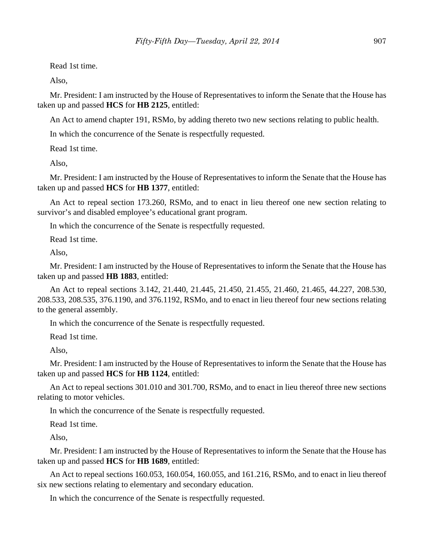Read 1st time.

Also,

Mr. President: I am instructed by the House of Representatives to inform the Senate that the House has taken up and passed **HCS** for **HB 2125**, entitled:

An Act to amend chapter 191, RSMo, by adding thereto two new sections relating to public health.

In which the concurrence of the Senate is respectfully requested.

Read 1st time.

Also,

Mr. President: I am instructed by the House of Representatives to inform the Senate that the House has taken up and passed **HCS** for **HB 1377**, entitled:

An Act to repeal section 173.260, RSMo, and to enact in lieu thereof one new section relating to survivor's and disabled employee's educational grant program.

In which the concurrence of the Senate is respectfully requested.

Read 1st time.

Also,

Mr. President: I am instructed by the House of Representatives to inform the Senate that the House has taken up and passed **HB 1883**, entitled:

An Act to repeal sections 3.142, 21.440, 21.445, 21.450, 21.455, 21.460, 21.465, 44.227, 208.530, 208.533, 208.535, 376.1190, and 376.1192, RSMo, and to enact in lieu thereof four new sections relating to the general assembly.

In which the concurrence of the Senate is respectfully requested.

Read 1st time.

Also,

Mr. President: I am instructed by the House of Representatives to inform the Senate that the House has taken up and passed **HCS** for **HB 1124**, entitled:

An Act to repeal sections 301.010 and 301.700, RSMo, and to enact in lieu thereof three new sections relating to motor vehicles.

In which the concurrence of the Senate is respectfully requested.

Read 1st time.

Also,

Mr. President: I am instructed by the House of Representatives to inform the Senate that the House has taken up and passed **HCS** for **HB 1689**, entitled:

An Act to repeal sections 160.053, 160.054, 160.055, and 161.216, RSMo, and to enact in lieu thereof six new sections relating to elementary and secondary education.

In which the concurrence of the Senate is respectfully requested.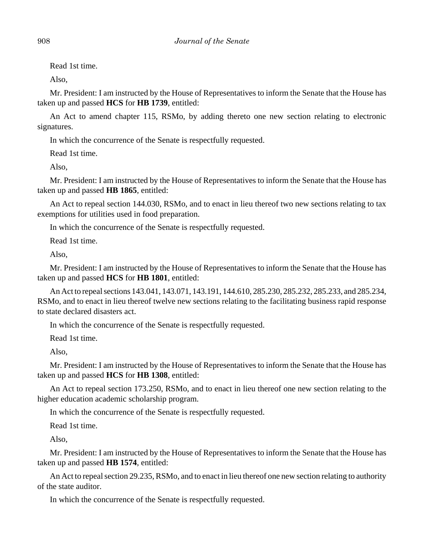Read 1st time.

Also,

Mr. President: I am instructed by the House of Representatives to inform the Senate that the House has taken up and passed **HCS** for **HB 1739**, entitled:

An Act to amend chapter 115, RSMo, by adding thereto one new section relating to electronic signatures.

In which the concurrence of the Senate is respectfully requested.

Read 1st time.

Also,

Mr. President: I am instructed by the House of Representatives to inform the Senate that the House has taken up and passed **HB 1865**, entitled:

An Act to repeal section 144.030, RSMo, and to enact in lieu thereof two new sections relating to tax exemptions for utilities used in food preparation.

In which the concurrence of the Senate is respectfully requested.

Read 1st time.

Also,

Mr. President: I am instructed by the House of Representatives to inform the Senate that the House has taken up and passed **HCS** for **HB 1801**, entitled:

An Act to repeal sections 143.041, 143.071, 143.191, 144.610, 285.230, 285.232, 285.233, and 285.234, RSMo, and to enact in lieu thereof twelve new sections relating to the facilitating business rapid response to state declared disasters act.

In which the concurrence of the Senate is respectfully requested.

Read 1st time.

Also,

Mr. President: I am instructed by the House of Representatives to inform the Senate that the House has taken up and passed **HCS** for **HB 1308**, entitled:

An Act to repeal section 173.250, RSMo, and to enact in lieu thereof one new section relating to the higher education academic scholarship program.

In which the concurrence of the Senate is respectfully requested.

Read 1st time.

Also,

Mr. President: I am instructed by the House of Representatives to inform the Senate that the House has taken up and passed **HB 1574**, entitled:

An Act to repeal section 29.235, RSMo, and to enact in lieu thereof one new section relating to authority of the state auditor.

In which the concurrence of the Senate is respectfully requested.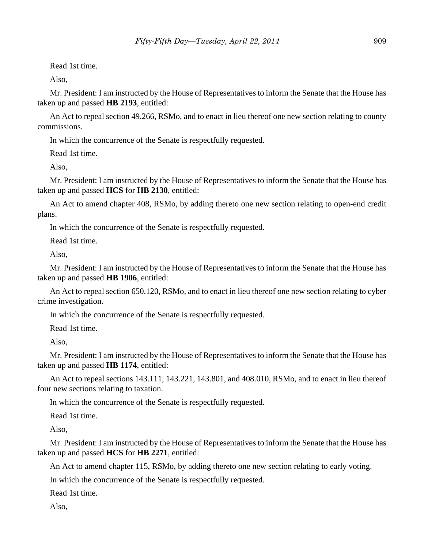Read 1st time.

Also,

Mr. President: I am instructed by the House of Representatives to inform the Senate that the House has taken up and passed **HB 2193**, entitled:

An Act to repeal section 49.266, RSMo, and to enact in lieu thereof one new section relating to county commissions.

In which the concurrence of the Senate is respectfully requested.

Read 1st time.

Also,

Mr. President: I am instructed by the House of Representatives to inform the Senate that the House has taken up and passed **HCS** for **HB 2130**, entitled:

An Act to amend chapter 408, RSMo, by adding thereto one new section relating to open-end credit plans.

In which the concurrence of the Senate is respectfully requested.

Read 1st time.

Also,

Mr. President: I am instructed by the House of Representatives to inform the Senate that the House has taken up and passed **HB 1906**, entitled:

An Act to repeal section 650.120, RSMo, and to enact in lieu thereof one new section relating to cyber crime investigation.

In which the concurrence of the Senate is respectfully requested.

Read 1st time.

Also,

Mr. President: I am instructed by the House of Representatives to inform the Senate that the House has taken up and passed **HB 1174**, entitled:

An Act to repeal sections 143.111, 143.221, 143.801, and 408.010, RSMo, and to enact in lieu thereof four new sections relating to taxation.

In which the concurrence of the Senate is respectfully requested.

Read 1st time.

Also,

Mr. President: I am instructed by the House of Representatives to inform the Senate that the House has taken up and passed **HCS** for **HB 2271**, entitled:

An Act to amend chapter 115, RSMo, by adding thereto one new section relating to early voting.

In which the concurrence of the Senate is respectfully requested.

Read 1st time.

Also,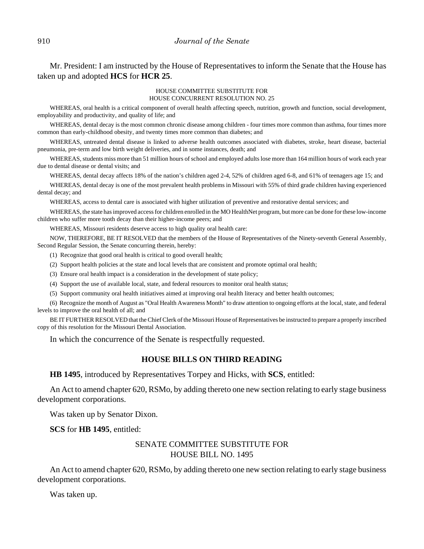Mr. President: I am instructed by the House of Representatives to inform the Senate that the House has taken up and adopted **HCS** for **HCR 25**.

#### HOUSE COMMITTEE SUBSTITUTE FOR HOUSE CONCURRENT RESOLUTION NO. 25

WHEREAS, oral health is a critical component of overall health affecting speech, nutrition, growth and function, social development, employability and productivity, and quality of life; and

WHEREAS, dental decay is the most common chronic disease among children - four times more common than asthma, four times more common than early-childhood obesity, and twenty times more common than diabetes; and

WHEREAS, untreated dental disease is linked to adverse health outcomes associated with diabetes, stroke, heart disease, bacterial pneumonia, pre-term and low birth weight deliveries, and in some instances, death; and

WHEREAS, students miss more than 51 million hours of school and employed adults lose more than 164 million hours of work each year due to dental disease or dental visits; and

WHEREAS, dental decay affects 18% of the nation's children aged 2-4, 52% of children aged 6-8, and 61% of teenagers age 15; and

WHEREAS, dental decay is one of the most prevalent health problems in Missouri with 55% of third grade children having experienced dental decay; and

WHEREAS, access to dental care is associated with higher utilization of preventive and restorative dental services; and

WHEREAS, the state has improved access for children enrolled in the MO HealthNet program, but more can be done for these low-income children who suffer more tooth decay than their higher-income peers; and

WHEREAS, Missouri residents deserve access to high quality oral health care:

NOW, THEREFORE, BE IT RESOLVED that the members of the House of Representatives of the Ninety-seventh General Assembly, Second Regular Session, the Senate concurring therein, hereby:

(1) Recognize that good oral health is critical to good overall health;

(2) Support health policies at the state and local levels that are consistent and promote optimal oral health;

(3) Ensure oral health impact is a consideration in the development of state policy;

(4) Support the use of available local, state, and federal resources to monitor oral health status;

(5) Support community oral health initiatives aimed at improving oral health literacy and better health outcomes;

(6) Recognize the month of August as "Oral Health Awareness Month" to draw attention to ongoing efforts at the local, state, and federal levels to improve the oral health of all; and

BE IT FURTHER RESOLVED that the Chief Clerk of the Missouri House of Representatives be instructed to prepare a properly inscribed copy of this resolution for the Missouri Dental Association.

In which the concurrence of the Senate is respectfully requested.

## **HOUSE BILLS ON THIRD READING**

**HB 1495**, introduced by Representatives Torpey and Hicks, with **SCS**, entitled:

An Act to amend chapter 620, RSMo, by adding thereto one new section relating to early stage business development corporations.

Was taken up by Senator Dixon.

**SCS** for **HB 1495**, entitled:

## SENATE COMMITTEE SUBSTITUTE FOR HOUSE BILL NO. 1495

An Act to amend chapter 620, RSMo, by adding thereto one new section relating to early stage business development corporations.

Was taken up.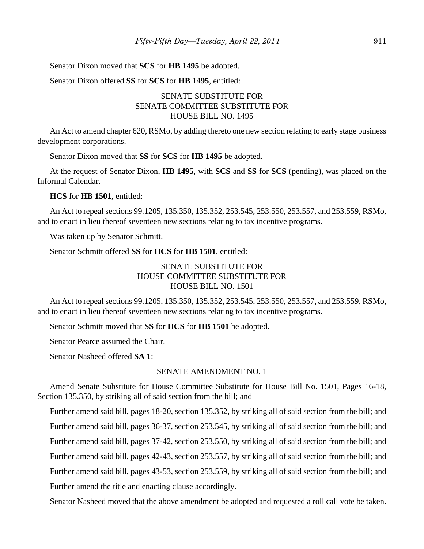#### Senator Dixon moved that **SCS** for **HB 1495** be adopted.

Senator Dixon offered **SS** for **SCS** for **HB 1495**, entitled:

# SENATE SUBSTITUTE FOR SENATE COMMITTEE SUBSTITUTE FOR HOUSE BILL NO. 1495

An Act to amend chapter 620, RSMo, by adding thereto one new section relating to early stage business development corporations.

Senator Dixon moved that **SS** for **SCS** for **HB 1495** be adopted.

At the request of Senator Dixon, **HB 1495**, with **SCS** and **SS** for **SCS** (pending), was placed on the Informal Calendar.

## **HCS** for **HB 1501**, entitled:

An Act to repeal sections 99.1205, 135.350, 135.352, 253.545, 253.550, 253.557, and 253.559, RSMo, and to enact in lieu thereof seventeen new sections relating to tax incentive programs.

Was taken up by Senator Schmitt.

Senator Schmitt offered **SS** for **HCS** for **HB 1501**, entitled:

# SENATE SUBSTITUTE FOR HOUSE COMMITTEE SUBSTITUTE FOR HOUSE BILL NO. 1501

An Act to repeal sections 99.1205, 135.350, 135.352, 253.545, 253.550, 253.557, and 253.559, RSMo, and to enact in lieu thereof seventeen new sections relating to tax incentive programs.

Senator Schmitt moved that **SS** for **HCS** for **HB 1501** be adopted.

Senator Pearce assumed the Chair.

Senator Nasheed offered **SA 1**:

### SENATE AMENDMENT NO. 1

Amend Senate Substitute for House Committee Substitute for House Bill No. 1501, Pages 16-18, Section 135.350, by striking all of said section from the bill; and

Further amend said bill, pages 18-20, section 135.352, by striking all of said section from the bill; and Further amend said bill, pages 36-37, section 253.545, by striking all of said section from the bill; and Further amend said bill, pages 37-42, section 253.550, by striking all of said section from the bill; and

Further amend said bill, pages 42-43, section 253.557, by striking all of said section from the bill; and

Further amend said bill, pages 43-53, section 253.559, by striking all of said section from the bill; and

Further amend the title and enacting clause accordingly.

Senator Nasheed moved that the above amendment be adopted and requested a roll call vote be taken.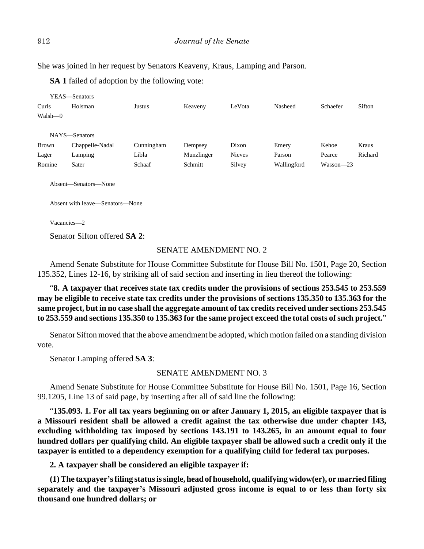She was joined in her request by Senators Keaveny, Kraus, Lamping and Parson.

**SA 1** failed of adoption by the following vote:

|         | YEAS—Senators        |            |            |               |             |           |         |
|---------|----------------------|------------|------------|---------------|-------------|-----------|---------|
| Curls   | Holsman              | Justus     | Keaveny    | LeVota        | Nasheed     | Schaefer  | Sifton  |
| Walsh-9 |                      |            |            |               |             |           |         |
|         |                      |            |            |               |             |           |         |
|         | NAYS-Senators        |            |            |               |             |           |         |
| Brown   | Chappelle-Nadal      | Cunningham | Dempsey    | Dixon         | Emery       | Kehoe     | Kraus   |
| Lager   | Lamping              | Libla      | Munzlinger | <b>Nieves</b> | Parson      | Pearce    | Richard |
| Romine  | Sater                | Schaaf     | Schmitt    | Silvey        | Wallingford | Wasson-23 |         |
|         |                      |            |            |               |             |           |         |
|         | Absent-Senators-None |            |            |               |             |           |         |

Absent with leave—Senators—None

Vacancies—2

Senator Sifton offered **SA 2**:

## SENATE AMENDMENT NO. 2

Amend Senate Substitute for House Committee Substitute for House Bill No. 1501, Page 20, Section 135.352, Lines 12-16, by striking all of said section and inserting in lieu thereof the following:

"**8. A taxpayer that receives state tax credits under the provisions of sections 253.545 to 253.559 may be eligible to receive state tax credits under the provisions of sections 135.350 to 135.363 for the same project, but in no case shall the aggregate amount of tax credits received under sections 253.545 to 253.559 and sections 135.350 to 135.363 for the same project exceed the total costs of such project.**"

Senator Sifton moved that the above amendment be adopted, which motion failed on a standing division vote.

Senator Lamping offered **SA 3**:

## SENATE AMENDMENT NO. 3

Amend Senate Substitute for House Committee Substitute for House Bill No. 1501, Page 16, Section 99.1205, Line 13 of said page, by inserting after all of said line the following:

"**135.093. 1. For all tax years beginning on or after January 1, 2015, an eligible taxpayer that is a Missouri resident shall be allowed a credit against the tax otherwise due under chapter 143, excluding withholding tax imposed by sections 143.191 to 143.265, in an amount equal to four hundred dollars per qualifying child. An eligible taxpayer shall be allowed such a credit only if the taxpayer is entitled to a dependency exemption for a qualifying child for federal tax purposes.**

**2. A taxpayer shall be considered an eligible taxpayer if:**

**(1) The taxpayer's filing status is single, head of household, qualifying widow(er), or married filing separately and the taxpayer's Missouri adjusted gross income is equal to or less than forty six thousand one hundred dollars; or**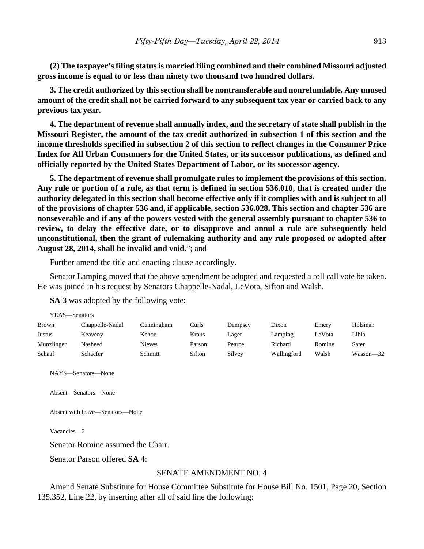**(2) The taxpayer's filing status is married filing combined and their combined Missouri adjusted gross income is equal to or less than ninety two thousand two hundred dollars.**

**3. The credit authorized by this section shall be nontransferable and nonrefundable. Any unused amount of the credit shall not be carried forward to any subsequent tax year or carried back to any previous tax year.**

**4. The department of revenue shall annually index, and the secretary of state shall publish in the Missouri Register, the amount of the tax credit authorized in subsection 1 of this section and the income thresholds specified in subsection 2 of this section to reflect changes in the Consumer Price Index for All Urban Consumers for the United States, or its successor publications, as defined and officially reported by the United States Department of Labor, or its successor agency.**

**5. The department of revenue shall promulgate rules to implement the provisions of this section. Any rule or portion of a rule, as that term is defined in section 536.010, that is created under the authority delegated in this section shall become effective only if it complies with and is subject to all of the provisions of chapter 536 and, if applicable, section 536.028. This section and chapter 536 are nonseverable and if any of the powers vested with the general assembly pursuant to chapter 536 to review, to delay the effective date, or to disapprove and annul a rule are subsequently held unconstitutional, then the grant of rulemaking authority and any rule proposed or adopted after August 28, 2014, shall be invalid and void.**"; and

Further amend the title and enacting clause accordingly.

Senator Lamping moved that the above amendment be adopted and requested a roll call vote be taken. He was joined in his request by Senators Chappelle-Nadal, LeVota, Sifton and Walsh.

**SA 3** was adopted by the following vote:

| YEAS—Senators |                 |               |        |         |             |        |           |
|---------------|-----------------|---------------|--------|---------|-------------|--------|-----------|
| <b>Brown</b>  | Chappelle-Nadal | Cunningham    | Curls  | Dempsey | Dixon       | Emery  | Holsman   |
| Justus        | Keaveny         | Kehoe         | Kraus  | Lager   | Lamping     | LeVota | Libla     |
| Munzlinger    | Nasheed         | <b>Nieves</b> | Parson | Pearce  | Richard     | Romine | Sater     |
| Schaaf        | Schaefer        | Schmitt       | Sifton | Silvey  | Wallingford | Walsh  | Wasson—32 |

NAYS—Senators—None

Absent—Senators—None

Absent with leave—Senators—None

Vacancies—2

Senator Romine assumed the Chair.

Senator Parson offered **SA 4**:

#### SENATE AMENDMENT NO. 4

Amend Senate Substitute for House Committee Substitute for House Bill No. 1501, Page 20, Section 135.352, Line 22, by inserting after all of said line the following: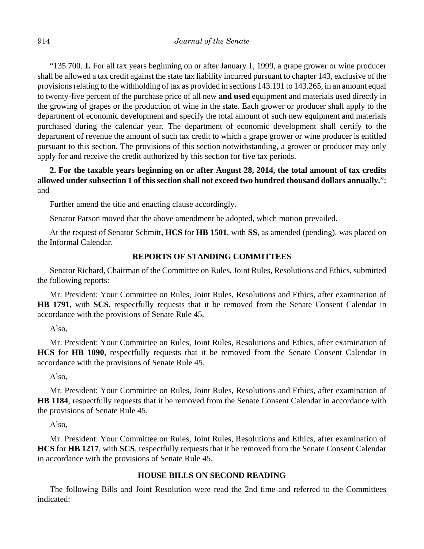"135.700. **1.** For all tax years beginning on or after January 1, 1999, a grape grower or wine producer shall be allowed a tax credit against the state tax liability incurred pursuant to chapter 143, exclusive of the provisions relating to the withholding of tax as provided in sections 143.191 to 143.265, in an amount equal to twenty-five percent of the purchase price of all new **and used** equipment and materials used directly in the growing of grapes or the production of wine in the state. Each grower or producer shall apply to the department of economic development and specify the total amount of such new equipment and materials purchased during the calendar year. The department of economic development shall certify to the department of revenue the amount of such tax credit to which a grape grower or wine producer is entitled pursuant to this section. The provisions of this section notwithstanding, a grower or producer may only apply for and receive the credit authorized by this section for five tax periods.

# **2. For the taxable years beginning on or after August 28, 2014, the total amount of tax credits allowed under subsection 1 of this section shall not exceed two hundred thousand dollars annually.**"; and

Further amend the title and enacting clause accordingly.

Senator Parson moved that the above amendment be adopted, which motion prevailed.

At the request of Senator Schmitt, **HCS** for **HB 1501**, with **SS**, as amended (pending), was placed on the Informal Calendar.

## **REPORTS OF STANDING COMMITTEES**

Senator Richard, Chairman of the Committee on Rules, Joint Rules, Resolutions and Ethics, submitted the following reports:

Mr. President: Your Committee on Rules, Joint Rules, Resolutions and Ethics, after examination of **HB 1791**, with **SCS**, respectfully requests that it be removed from the Senate Consent Calendar in accordance with the provisions of Senate Rule 45.

Also,

Mr. President: Your Committee on Rules, Joint Rules, Resolutions and Ethics, after examination of **HCS** for **HB 1090**, respectfully requests that it be removed from the Senate Consent Calendar in accordance with the provisions of Senate Rule 45.

Also,

Mr. President: Your Committee on Rules, Joint Rules, Resolutions and Ethics, after examination of **HB 1184**, respectfully requests that it be removed from the Senate Consent Calendar in accordance with the provisions of Senate Rule 45.

Also,

Mr. President: Your Committee on Rules, Joint Rules, Resolutions and Ethics, after examination of **HCS** for **HB 1217**, with **SCS**, respectfully requests that it be removed from the Senate Consent Calendar in accordance with the provisions of Senate Rule 45.

## **HOUSE BILLS ON SECOND READING**

The following Bills and Joint Resolution were read the 2nd time and referred to the Committees indicated: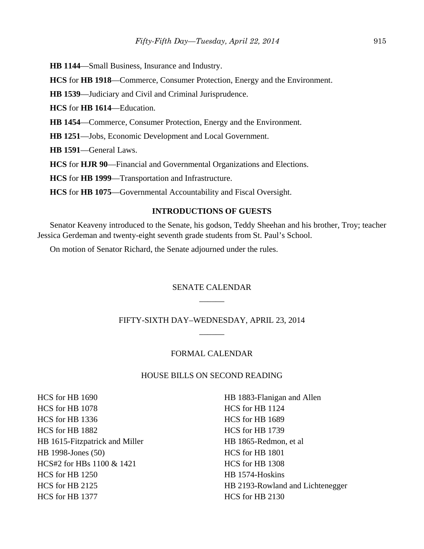**HB 1144**—Small Business, Insurance and Industry.

**HCS** for **HB 1918**—Commerce, Consumer Protection, Energy and the Environment.

**HB 1539**—Judiciary and Civil and Criminal Jurisprudence.

**HCS** for **HB 1614**—Education.

**HB 1454**—Commerce, Consumer Protection, Energy and the Environment.

**HB 1251**—Jobs, Economic Development and Local Government.

**HB 1591**—General Laws.

**HCS** for **HJR 90**—Financial and Governmental Organizations and Elections.

**HCS** for **HB 1999**—Transportation and Infrastructure.

**HCS** for **HB 1075**—Governmental Accountability and Fiscal Oversight.

## **INTRODUCTIONS OF GUESTS**

Senator Keaveny introduced to the Senate, his godson, Teddy Sheehan and his brother, Troy; teacher Jessica Gerdeman and twenty-eight seventh grade students from St. Paul's School.

On motion of Senator Richard, the Senate adjourned under the rules.

# SENATE CALENDAR  $\overline{\phantom{a}}$

# FIFTY-SIXTH DAY–WEDNESDAY, APRIL 23, 2014  $\overline{\phantom{a}}$

## FORMAL CALENDAR

## HOUSE BILLS ON SECOND READING

HCS for HB 1690 HCS for HB 1078 HCS for HB 1336 HCS for HB 1882 HB 1615-Fitzpatrick and Miller HB 1998-Jones (50) HCS#2 for HBs 1100 & 1421 HCS for HB 1250 HCS for HB 2125 HCS for HB 1377

HB 1883-Flanigan and Allen HCS for HB 1124 HCS for HB 1689 HCS for HB 1739 HB 1865-Redmon, et al HCS for HB 1801 HCS for HB 1308 HB 1574-Hoskins HB 2193-Rowland and Lichtenegger HCS for HB 2130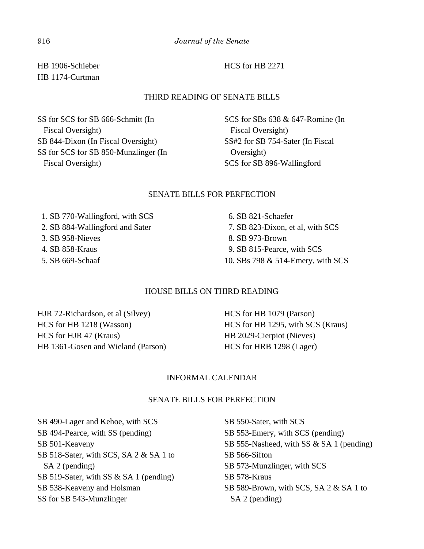HB 1906-Schieber HB 1174-Curtman

## THIRD READING OF SENATE BILLS

SS for SCS for SB 666-Schmitt (In Fiscal Oversight) SB 844-Dixon (In Fiscal Oversight) SS for SCS for SB 850-Munzlinger (In Fiscal Oversight)

SCS for SBs 638 & 647-Romine (In Fiscal Oversight) SS#2 for SB 754-Sater (In Fiscal Oversight) SCS for SB 896-Wallingford

## SENATE BILLS FOR PERFECTION

 1. SB 770-Wallingford, with SCS 2. SB 884-Wallingford and Sater 3. SB 958-Nieves 4. SB 858-Kraus 5. SB 669-Schaaf

# 6. SB 821-Schaefer 7. SB 823-Dixon, et al, with SCS 8. SB 973-Brown 9. SB 815-Pearce, with SCS 10. SBs 798 & 514-Emery, with SCS

## HOUSE BILLS ON THIRD READING

HJR 72-Richardson, et al (Silvey) HCS for HB 1218 (Wasson) HCS for HJR 47 (Kraus) HB 1361-Gosen and Wieland (Parson)

HCS for HB 1079 (Parson) HCS for HB 1295, with SCS (Kraus) HB 2029-Cierpiot (Nieves) HCS for HRB 1298 (Lager)

## INFORMAL CALENDAR

## SENATE BILLS FOR PERFECTION

SB 490-Lager and Kehoe, with SCS SB 494-Pearce, with SS (pending) SB 501-Keaveny SB 518-Sater, with SCS, SA 2 & SA 1 to SA 2 (pending) SB 519-Sater, with SS & SA 1 (pending) SB 538-Keaveny and Holsman SS for SB 543-Munzlinger

SB 550-Sater, with SCS SB 553-Emery, with SCS (pending) SB 555-Nasheed, with SS & SA 1 (pending) SB 566-Sifton SB 573-Munzlinger, with SCS SB 578-Kraus SB 589-Brown, with SCS, SA 2 & SA 1 to SA 2 (pending)

HCS for HB 2271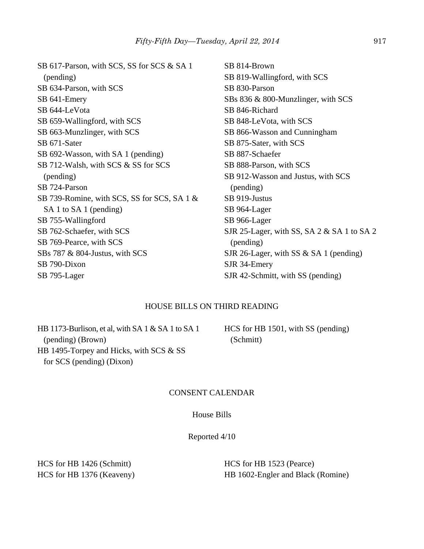SB 617-Parson, with SCS, SS for SCS & SA 1 (pending) SB 634-Parson, with SCS SB 641-Emery SB 644-LeVota SB 659-Wallingford, with SCS SB 663-Munzlinger, with SCS SB 671-Sater SB 692-Wasson, with SA 1 (pending) SB 712-Walsh, with SCS & SS for SCS (pending) SB 724-Parson SB 739-Romine, with SCS, SS for SCS, SA 1 & SA 1 to SA 1 (pending) SB 755-Wallingford SB 762-Schaefer, with SCS SB 769-Pearce, with SCS SBs 787 & 804-Justus, with SCS SB 790-Dixon SB 795-Lager SB 814-Brown SB 819-Wallingford, with SCS SB 830-Parson SBs 836 & 800-Munzlinger, with SCS SB 846-Richard SB 848-LeVota, with SCS SB 866-Wasson and Cunningham SB 875-Sater, with SCS SB 887-Schaefer SB 888-Parson, with SCS SB 912-Wasson and Justus, with SCS (pending) SB 919-Justus SB 964-Lager SB 966-Lager SJR 25-Lager, with SS, SA 2 & SA 1 to SA 2 (pending) SJR 26-Lager, with SS & SA 1 (pending) SJR 34-Emery SJR 42-Schmitt, with SS (pending)

## HOUSE BILLS ON THIRD READING

HB 1173-Burlison, et al, with SA 1 & SA 1 to SA 1 (pending) (Brown) HB 1495-Torpey and Hicks, with SCS & SS for SCS (pending) (Dixon)

HCS for HB 1501, with SS (pending) (Schmitt)

## CONSENT CALENDAR

## House Bills

Reported 4/10

HCS for HB 1426 (Schmitt) HCS for HB 1376 (Keaveny) HCS for HB 1523 (Pearce) HB 1602-Engler and Black (Romine)